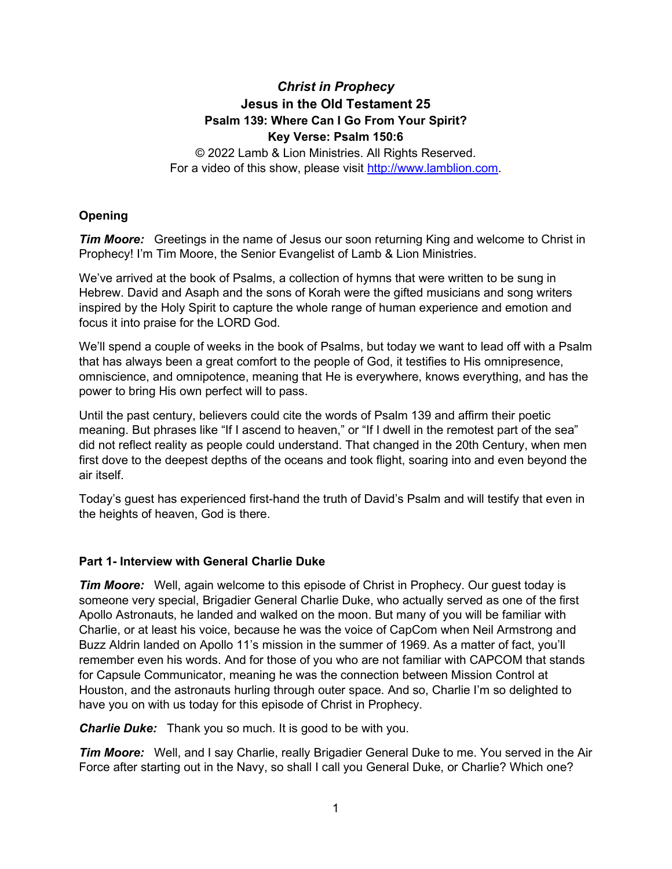# *Christ in Prophecy* **Jesus in the Old Testament 25 Psalm 139: Where Can I Go From Your Spirit? Key Verse: Psalm 150:6**

© 2022 Lamb & Lion Ministries. All Rights Reserved. For a video of this show, please visit [http://www.lamblion.com.](http://www.lamblion.com/)

# **Opening**

*Tim Moore:* Greetings in the name of Jesus our soon returning King and welcome to Christ in Prophecy! I'm Tim Moore, the Senior Evangelist of Lamb & Lion Ministries.

We've arrived at the book of Psalms, a collection of hymns that were written to be sung in Hebrew. David and Asaph and the sons of Korah were the gifted musicians and song writers inspired by the Holy Spirit to capture the whole range of human experience and emotion and focus it into praise for the LORD God.

We'll spend a couple of weeks in the book of Psalms, but today we want to lead off with a Psalm that has always been a great comfort to the people of God, it testifies to His omnipresence, omniscience, and omnipotence, meaning that He is everywhere, knows everything, and has the power to bring His own perfect will to pass.

Until the past century, believers could cite the words of Psalm 139 and affirm their poetic meaning. But phrases like "If I ascend to heaven," or "If I dwell in the remotest part of the sea" did not reflect reality as people could understand. That changed in the 20th Century, when men first dove to the deepest depths of the oceans and took flight, soaring into and even beyond the air itself.

Today's guest has experienced first-hand the truth of David's Psalm and will testify that even in the heights of heaven, God is there.

# **Part 1- Interview with General Charlie Duke**

*Tim Moore:* Well, again welcome to this episode of Christ in Prophecy. Our guest today is someone very special, Brigadier General Charlie Duke, who actually served as one of the first Apollo Astronauts, he landed and walked on the moon. But many of you will be familiar with Charlie, or at least his voice, because he was the voice of CapCom when Neil Armstrong and Buzz Aldrin landed on Apollo 11's mission in the summer of 1969. As a matter of fact, you'll remember even his words. And for those of you who are not familiar with CAPCOM that stands for Capsule Communicator, meaning he was the connection between Mission Control at Houston, and the astronauts hurling through outer space. And so, Charlie I'm so delighted to have you on with us today for this episode of Christ in Prophecy.

*Charlie Duke:* Thank you so much. It is good to be with you.

*Tim Moore:* Well, and I say Charlie, really Brigadier General Duke to me. You served in the Air Force after starting out in the Navy, so shall I call you General Duke, or Charlie? Which one?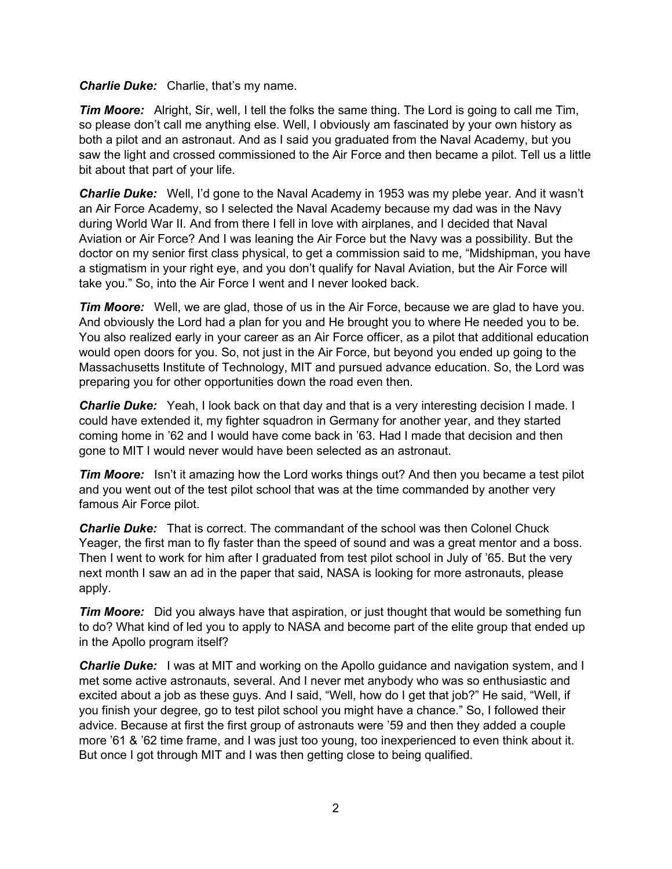### *Charlie Duke:* Charlie, that's my name.

*Tim Moore:* Alright, Sir, well, I tell the folks the same thing. The Lord is going to call me Tim, so please don't call me anything else. Well, I obviously am fascinated by your own history as both a pilot and an astronaut. And as I said you graduated from the Naval Academy, but you saw the light and crossed commissioned to the Air Force and then became a pilot. Tell us a little bit about that part of your life.

*Charlie Duke:* Well, I'd gone to the Naval Academy in 1953 was my plebe year. And it wasn't an Air Force Academy, so I selected the Naval Academy because my dad was in the Navy during World War II. And from there I fell in love with airplanes, and I decided that Naval Aviation or Air Force? And I was leaning the Air Force but the Navy was a possibility. But the doctor on my senior first class physical, to get a commission said to me, "Midshipman, you have a stigmatism in your right eye, and you don't qualify for Naval Aviation, but the Air Force will take you." So, into the Air Force I went and I never looked back.

*Tim Moore:* Well, we are glad, those of us in the Air Force, because we are glad to have you. And obviously the Lord had a plan for you and He brought you to where He needed you to be. You also realized early in your career as an Air Force officer, as a pilot that additional education would open doors for you. So, not just in the Air Force, but beyond you ended up going to the Massachusetts Institute of Technology, MIT and pursued advance education. So, the Lord was preparing you for other opportunities down the road even then.

*Charlie Duke:* Yeah, I look back on that day and that is a very interesting decision I made. I could have extended it, my fighter squadron in Germany for another year, and they started coming home in '62 and I would have come back in '63. Had I made that decision and then gone to MIT I would never would have been selected as an astronaut.

*Tim Moore:* Isn't it amazing how the Lord works things out? And then you became a test pilot and you went out of the test pilot school that was at the time commanded by another very famous Air Force pilot.

*Charlie Duke:* That is correct. The commandant of the school was then Colonel Chuck Yeager, the first man to fly faster than the speed of sound and was a great mentor and a boss. Then I went to work for him after I graduated from test pilot school in July of '65. But the very next month I saw an ad in the paper that said, NASA is looking for more astronauts, please apply.

*Tim Moore:* Did you always have that aspiration, or just thought that would be something fun to do? What kind of led you to apply to NASA and become part of the elite group that ended up in the Apollo program itself?

*Charlie Duke:* I was at MIT and working on the Apollo guidance and navigation system, and I met some active astronauts, several. And I never met anybody who was so enthusiastic and excited about a job as these guys. And I said, "Well, how do I get that job?" He said, "Well, if you finish your degree, go to test pilot school you might have a chance." So, I followed their advice. Because at first the first group of astronauts were '59 and then they added a couple more '61 & '62 time frame, and I was just too young, too inexperienced to even think about it. But once I got through MIT and I was then getting close to being qualified.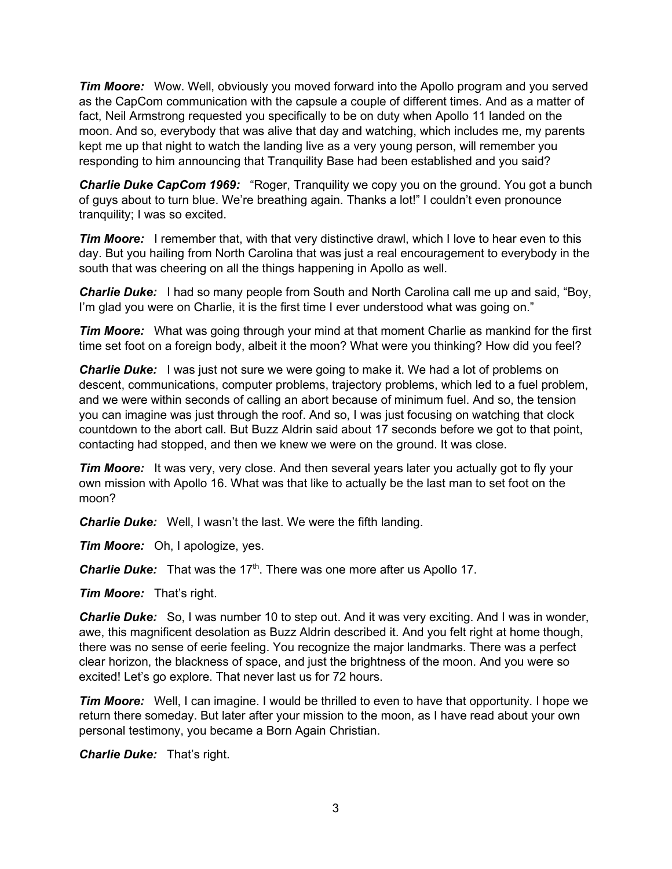*Tim Moore:* Wow. Well, obviously you moved forward into the Apollo program and you served as the CapCom communication with the capsule a couple of different times. And as a matter of fact, Neil Armstrong requested you specifically to be on duty when Apollo 11 landed on the moon. And so, everybody that was alive that day and watching, which includes me, my parents kept me up that night to watch the landing live as a very young person, will remember you responding to him announcing that Tranquility Base had been established and you said?

*Charlie Duke CapCom 1969:* "Roger, Tranquility we copy you on the ground. You got a bunch of guys about to turn blue. We're breathing again. Thanks a lot!" I couldn't even pronounce tranquility; I was so excited.

*Tim Moore:* I remember that, with that very distinctive drawl, which I love to hear even to this day. But you hailing from North Carolina that was just a real encouragement to everybody in the south that was cheering on all the things happening in Apollo as well.

*Charlie Duke:* I had so many people from South and North Carolina call me up and said, "Boy, I'm glad you were on Charlie, it is the first time I ever understood what was going on."

*Tim Moore:* What was going through your mind at that moment Charlie as mankind for the first time set foot on a foreign body, albeit it the moon? What were you thinking? How did you feel?

*Charlie Duke:* I was just not sure we were going to make it. We had a lot of problems on descent, communications, computer problems, trajectory problems, which led to a fuel problem, and we were within seconds of calling an abort because of minimum fuel. And so, the tension you can imagine was just through the roof. And so, I was just focusing on watching that clock countdown to the abort call. But Buzz Aldrin said about 17 seconds before we got to that point, contacting had stopped, and then we knew we were on the ground. It was close.

*Tim Moore:* It was very, very close. And then several years later you actually got to fly your own mission with Apollo 16. What was that like to actually be the last man to set foot on the moon?

*Charlie Duke:* Well, I wasn't the last. We were the fifth landing.

*Tim Moore:* Oh, I apologize, yes.

**Charlie Duke:** That was the 17<sup>th</sup>. There was one more after us Apollo 17.

*Tim Moore:* That's right.

*Charlie Duke:* So, I was number 10 to step out. And it was very exciting. And I was in wonder, awe, this magnificent desolation as Buzz Aldrin described it. And you felt right at home though, there was no sense of eerie feeling. You recognize the major landmarks. There was a perfect clear horizon, the blackness of space, and just the brightness of the moon. And you were so excited! Let's go explore. That never last us for 72 hours.

*Tim Moore:* Well, I can imagine. I would be thrilled to even to have that opportunity. I hope we return there someday. But later after your mission to the moon, as I have read about your own personal testimony, you became a Born Again Christian.

*Charlie Duke:* That's right.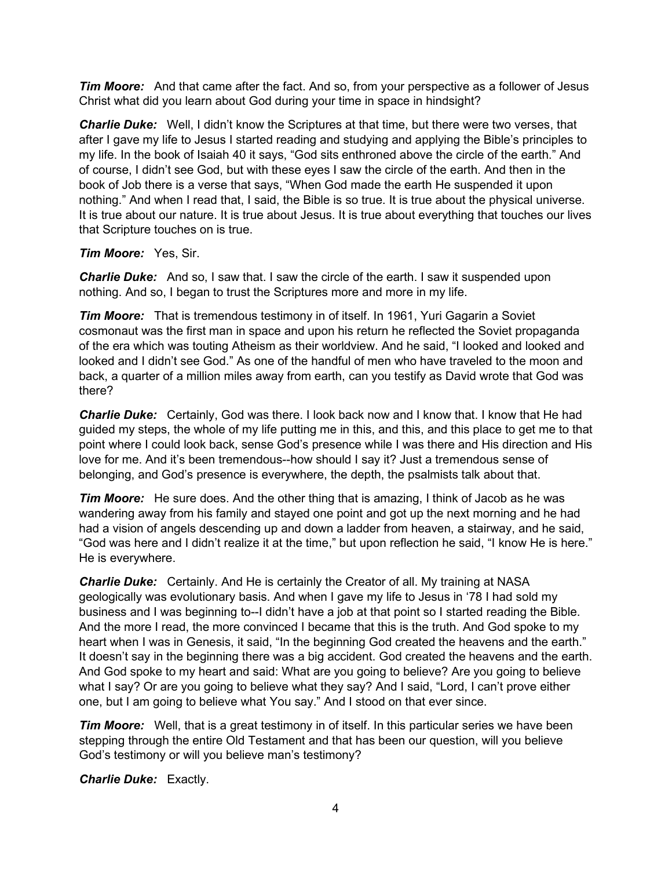*Tim Moore:* And that came after the fact. And so, from your perspective as a follower of Jesus Christ what did you learn about God during your time in space in hindsight?

*Charlie Duke:* Well, I didn't know the Scriptures at that time, but there were two verses, that after I gave my life to Jesus I started reading and studying and applying the Bible's principles to my life. In the book of Isaiah 40 it says, "God sits enthroned above the circle of the earth." And of course, I didn't see God, but with these eyes I saw the circle of the earth. And then in the book of Job there is a verse that says, "When God made the earth He suspended it upon nothing." And when I read that, I said, the Bible is so true. It is true about the physical universe. It is true about our nature. It is true about Jesus. It is true about everything that touches our lives that Scripture touches on is true.

## *Tim Moore:* Yes, Sir.

**Charlie Duke:** And so, I saw that. I saw the circle of the earth. I saw it suspended upon nothing. And so, I began to trust the Scriptures more and more in my life.

*Tim Moore:* That is tremendous testimony in of itself. In 1961, Yuri Gagarin a Soviet cosmonaut was the first man in space and upon his return he reflected the Soviet propaganda of the era which was touting Atheism as their worldview. And he said, "I looked and looked and looked and I didn't see God." As one of the handful of men who have traveled to the moon and back, a quarter of a million miles away from earth, can you testify as David wrote that God was there?

*Charlie Duke:* Certainly, God was there. I look back now and I know that. I know that He had guided my steps, the whole of my life putting me in this, and this, and this place to get me to that point where I could look back, sense God's presence while I was there and His direction and His love for me. And it's been tremendous--how should I say it? Just a tremendous sense of belonging, and God's presence is everywhere, the depth, the psalmists talk about that.

*Tim Moore:* He sure does. And the other thing that is amazing, I think of Jacob as he was wandering away from his family and stayed one point and got up the next morning and he had had a vision of angels descending up and down a ladder from heaven, a stairway, and he said, "God was here and I didn't realize it at the time," but upon reflection he said, "I know He is here." He is everywhere.

*Charlie Duke:* Certainly. And He is certainly the Creator of all. My training at NASA geologically was evolutionary basis. And when I gave my life to Jesus in '78 I had sold my business and I was beginning to--I didn't have a job at that point so I started reading the Bible. And the more I read, the more convinced I became that this is the truth. And God spoke to my heart when I was in Genesis, it said, "In the beginning God created the heavens and the earth." It doesn't say in the beginning there was a big accident. God created the heavens and the earth. And God spoke to my heart and said: What are you going to believe? Are you going to believe what I say? Or are you going to believe what they say? And I said, "Lord, I can't prove either one, but I am going to believe what You say." And I stood on that ever since.

*Tim Moore:* Well, that is a great testimony in of itself. In this particular series we have been stepping through the entire Old Testament and that has been our question, will you believe God's testimony or will you believe man's testimony?

*Charlie Duke:* Exactly.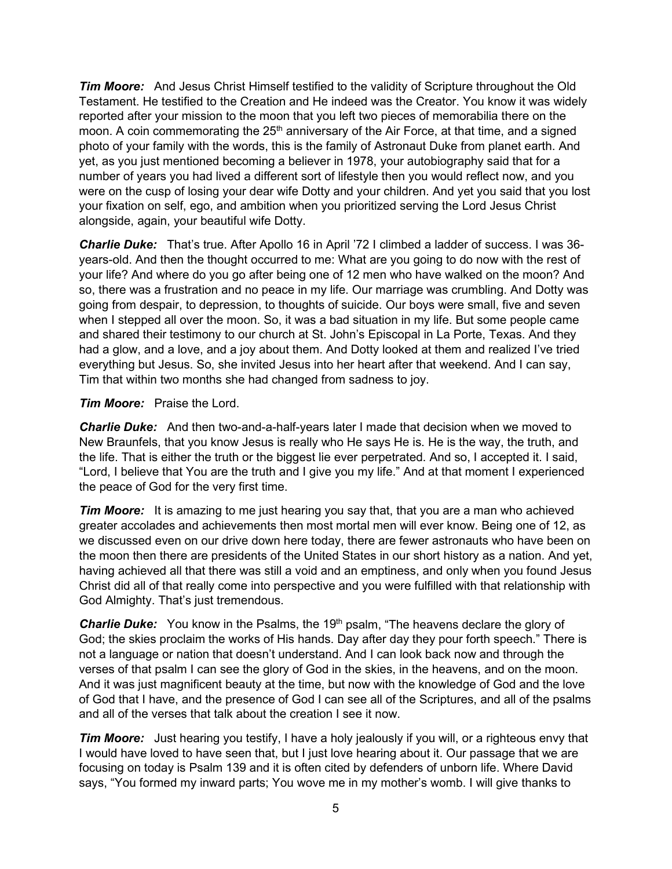*Tim Moore:* And Jesus Christ Himself testified to the validity of Scripture throughout the Old Testament. He testified to the Creation and He indeed was the Creator. You know it was widely reported after your mission to the moon that you left two pieces of memorabilia there on the moon. A coin commemorating the  $25<sup>th</sup>$  anniversary of the Air Force, at that time, and a signed photo of your family with the words, this is the family of Astronaut Duke from planet earth. And yet, as you just mentioned becoming a believer in 1978, your autobiography said that for a number of years you had lived a different sort of lifestyle then you would reflect now, and you were on the cusp of losing your dear wife Dotty and your children. And yet you said that you lost your fixation on self, ego, and ambition when you prioritized serving the Lord Jesus Christ alongside, again, your beautiful wife Dotty.

*Charlie Duke:* That's true. After Apollo 16 in April '72 I climbed a ladder of success. I was 36 years-old. And then the thought occurred to me: What are you going to do now with the rest of your life? And where do you go after being one of 12 men who have walked on the moon? And so, there was a frustration and no peace in my life. Our marriage was crumbling. And Dotty was going from despair, to depression, to thoughts of suicide. Our boys were small, five and seven when I stepped all over the moon. So, it was a bad situation in my life. But some people came and shared their testimony to our church at St. John's Episcopal in La Porte, Texas. And they had a glow, and a love, and a joy about them. And Dotty looked at them and realized I've tried everything but Jesus. So, she invited Jesus into her heart after that weekend. And I can say, Tim that within two months she had changed from sadness to joy.

### *Tim Moore:* Praise the Lord.

*Charlie Duke:* And then two-and-a-half-years later I made that decision when we moved to New Braunfels, that you know Jesus is really who He says He is. He is the way, the truth, and the life. That is either the truth or the biggest lie ever perpetrated. And so, I accepted it. I said, "Lord, I believe that You are the truth and I give you my life." And at that moment I experienced the peace of God for the very first time.

**Tim Moore:** It is amazing to me just hearing you say that, that you are a man who achieved greater accolades and achievements then most mortal men will ever know. Being one of 12, as we discussed even on our drive down here today, there are fewer astronauts who have been on the moon then there are presidents of the United States in our short history as a nation. And yet, having achieved all that there was still a void and an emptiness, and only when you found Jesus Christ did all of that really come into perspective and you were fulfilled with that relationship with God Almighty. That's just tremendous.

**Charlie Duke:** You know in the Psalms, the 19<sup>th</sup> psalm, "The heavens declare the glory of God; the skies proclaim the works of His hands. Day after day they pour forth speech." There is not a language or nation that doesn't understand. And I can look back now and through the verses of that psalm I can see the glory of God in the skies, in the heavens, and on the moon. And it was just magnificent beauty at the time, but now with the knowledge of God and the love of God that I have, and the presence of God I can see all of the Scriptures, and all of the psalms and all of the verses that talk about the creation I see it now.

*Tim Moore:* Just hearing you testify, I have a holy jealously if you will, or a righteous envy that I would have loved to have seen that, but I just love hearing about it. Our passage that we are focusing on today is Psalm 139 and it is often cited by defenders of unborn life. Where David says, "You formed my inward parts; You wove me in my mother's womb. I will give thanks to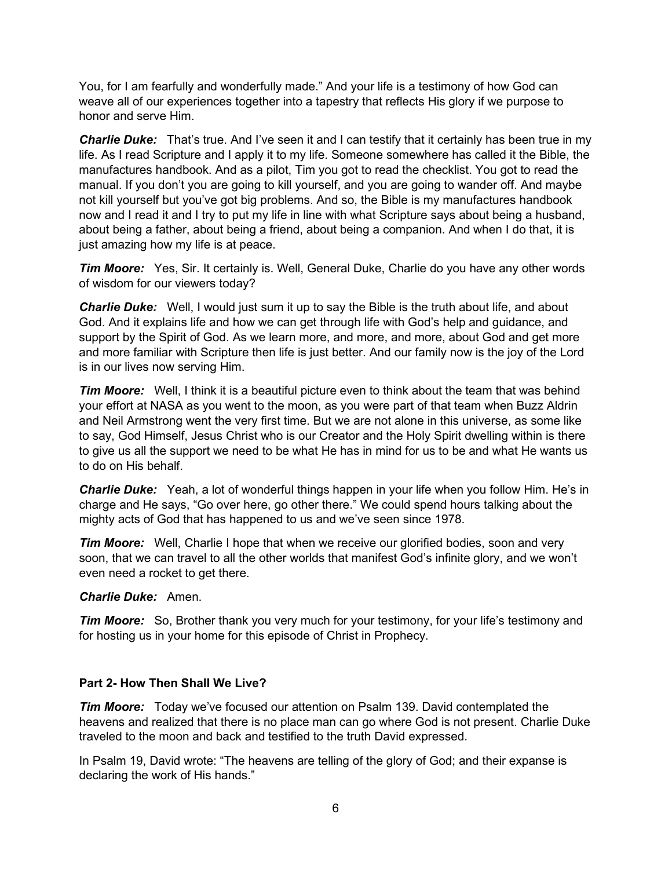You, for I am fearfully and wonderfully made." And your life is a testimony of how God can weave all of our experiences together into a tapestry that reflects His glory if we purpose to honor and serve Him.

*Charlie Duke:* That's true. And I've seen it and I can testify that it certainly has been true in my life. As I read Scripture and I apply it to my life. Someone somewhere has called it the Bible, the manufactures handbook. And as a pilot, Tim you got to read the checklist. You got to read the manual. If you don't you are going to kill yourself, and you are going to wander off. And maybe not kill yourself but you've got big problems. And so, the Bible is my manufactures handbook now and I read it and I try to put my life in line with what Scripture says about being a husband, about being a father, about being a friend, about being a companion. And when I do that, it is just amazing how my life is at peace.

*Tim Moore:* Yes, Sir. It certainly is. Well, General Duke, Charlie do you have any other words of wisdom for our viewers today?

*Charlie Duke:* Well, I would just sum it up to say the Bible is the truth about life, and about God. And it explains life and how we can get through life with God's help and guidance, and support by the Spirit of God. As we learn more, and more, and more, about God and get more and more familiar with Scripture then life is just better. And our family now is the joy of the Lord is in our lives now serving Him.

*Tim Moore:* Well, I think it is a beautiful picture even to think about the team that was behind your effort at NASA as you went to the moon, as you were part of that team when Buzz Aldrin and Neil Armstrong went the very first time. But we are not alone in this universe, as some like to say, God Himself, Jesus Christ who is our Creator and the Holy Spirit dwelling within is there to give us all the support we need to be what He has in mind for us to be and what He wants us to do on His behalf.

*Charlie Duke:* Yeah, a lot of wonderful things happen in your life when you follow Him. He's in charge and He says, "Go over here, go other there." We could spend hours talking about the mighty acts of God that has happened to us and we've seen since 1978.

**Tim Moore:** Well, Charlie I hope that when we receive our glorified bodies, soon and very soon, that we can travel to all the other worlds that manifest God's infinite glory, and we won't even need a rocket to get there.

#### *Charlie Duke:* Amen.

*Tim Moore:* So, Brother thank you very much for your testimony, for your life's testimony and for hosting us in your home for this episode of Christ in Prophecy.

#### **Part 2- How Then Shall We Live?**

*Tim Moore:* Today we've focused our attention on Psalm 139. David contemplated the heavens and realized that there is no place man can go where God is not present. Charlie Duke traveled to the moon and back and testified to the truth David expressed.

In Psalm 19, David wrote: "The heavens are telling of the glory of God; and their expanse is declaring the work of His hands."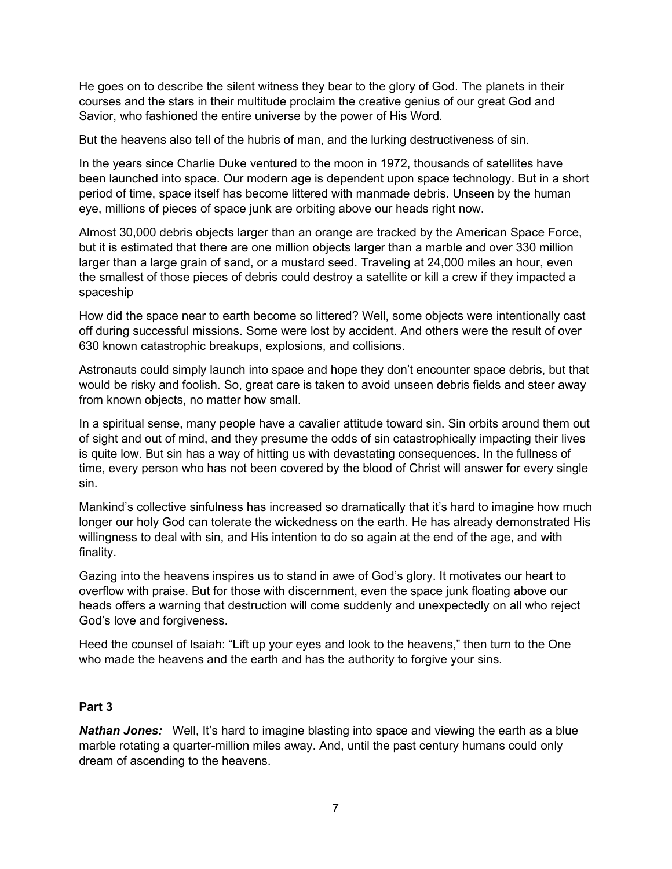He goes on to describe the silent witness they bear to the glory of God. The planets in their courses and the stars in their multitude proclaim the creative genius of our great God and Savior, who fashioned the entire universe by the power of His Word.

But the heavens also tell of the hubris of man, and the lurking destructiveness of sin.

In the years since Charlie Duke ventured to the moon in 1972, thousands of satellites have been launched into space. Our modern age is dependent upon space technology. But in a short period of time, space itself has become littered with manmade debris. Unseen by the human eye, millions of pieces of space junk are orbiting above our heads right now.

Almost 30,000 debris objects larger than an orange are tracked by the American Space Force, but it is estimated that there are one million objects larger than a marble and over 330 million larger than a large grain of sand, or a mustard seed. Traveling at 24,000 miles an hour, even the smallest of those pieces of debris could destroy a satellite or kill a crew if they impacted a spaceship

How did the space near to earth become so littered? Well, some objects were intentionally cast off during successful missions. Some were lost by accident. And others were the result of over 630 known catastrophic breakups, explosions, and collisions.

Astronauts could simply launch into space and hope they don't encounter space debris, but that would be risky and foolish. So, great care is taken to avoid unseen debris fields and steer away from known objects, no matter how small.

In a spiritual sense, many people have a cavalier attitude toward sin. Sin orbits around them out of sight and out of mind, and they presume the odds of sin catastrophically impacting their lives is quite low. But sin has a way of hitting us with devastating consequences. In the fullness of time, every person who has not been covered by the blood of Christ will answer for every single sin.

Mankind's collective sinfulness has increased so dramatically that it's hard to imagine how much longer our holy God can tolerate the wickedness on the earth. He has already demonstrated His willingness to deal with sin, and His intention to do so again at the end of the age, and with finality.

Gazing into the heavens inspires us to stand in awe of God's glory. It motivates our heart to overflow with praise. But for those with discernment, even the space junk floating above our heads offers a warning that destruction will come suddenly and unexpectedly on all who reject God's love and forgiveness.

Heed the counsel of Isaiah: "Lift up your eyes and look to the heavens," then turn to the One who made the heavens and the earth and has the authority to forgive your sins.

### **Part 3**

**Nathan Jones:** Well, It's hard to imagine blasting into space and viewing the earth as a blue marble rotating a quarter-million miles away. And, until the past century humans could only dream of ascending to the heavens.